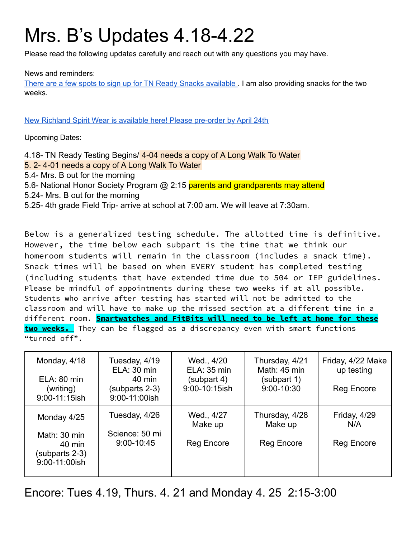# Mrs. B's Updates 4.18-4.22

Please read the following updates carefully and reach out with any questions you may have.

#### News and reminders:

There are a few spots to sign up for TN Ready Snacks [available](https://www.signupgenius.com/go/10C0D49ACA72DA4FAC16-tnready) . I am also providing snacks for the two weeks.

New Richland Spirit Wear is available here! Please [pre-order](https://stores.inksoft.com/richland_elem/shop/home) by April 24th

Upcoming Dates:

4.18- TN Ready Testing Begins/ 4-04 needs a copy of A Long Walk To Water 5. 2- 4-01 needs a copy of A Long Walk To Water 5.4- Mrs. B out for the morning 5.6- National Honor Society Program @ 2:15 parents and grandparents may attend 5.24- Mrs. B out for the morning 5.25- 4th grade Field Trip- arrive at school at 7:00 am. We will leave at 7:30am.

Below is a generalized testing schedule. The allotted time is definitive. However, the time below each subpart is the time that we think our homeroom students will remain in the classroom (includes a snack time). Snack times will be based on when EVERY student has completed testing (including students that have extended time due to 504 or IEP guidelines. Please be mindful of appointments during these two weeks if at all possible. Students who arrive after testing has started will not be admitted to the classroom and will have to make up the missed section at a different time in a different room. **Smartwatches and FitBits will need to be left at home for these two weeks.** They can be flagged as a discrepancy even with smart functions "turned off".

| Monday, 4/18<br>ELA: 80 min<br>(writing)<br>9:00-11:15ish | Tuesday, 4/19<br>ELA: 30 min<br>40 min<br>(subparts 2-3)<br>9:00-11:00ish | Wed., 4/20<br>ELA: 35 min<br>(subpart 4)<br>9:00-10:15ish | Thursday, 4/21<br>Math: 45 min<br>(subpart 1)<br>9:00-10:30 | Friday, 4/22 Make<br>up testing<br><b>Reg Encore</b> |
|-----------------------------------------------------------|---------------------------------------------------------------------------|-----------------------------------------------------------|-------------------------------------------------------------|------------------------------------------------------|
| Monday 4/25                                               | Tuesday, 4/26                                                             | Wed., 4/27<br>Make up                                     | Thursday, 4/28<br>Make up                                   | Friday, 4/29<br>N/A                                  |
| Math: 30 min<br>40 min<br>(subparts 2-3)<br>9:00-11:00ish | Science: 50 mi<br>9:00-10:45                                              | <b>Reg Encore</b>                                         | <b>Reg Encore</b>                                           | <b>Reg Encore</b>                                    |

Encore: Tues 4.19, Thurs. 4. 21 and Monday 4. 25 2:15-3:00